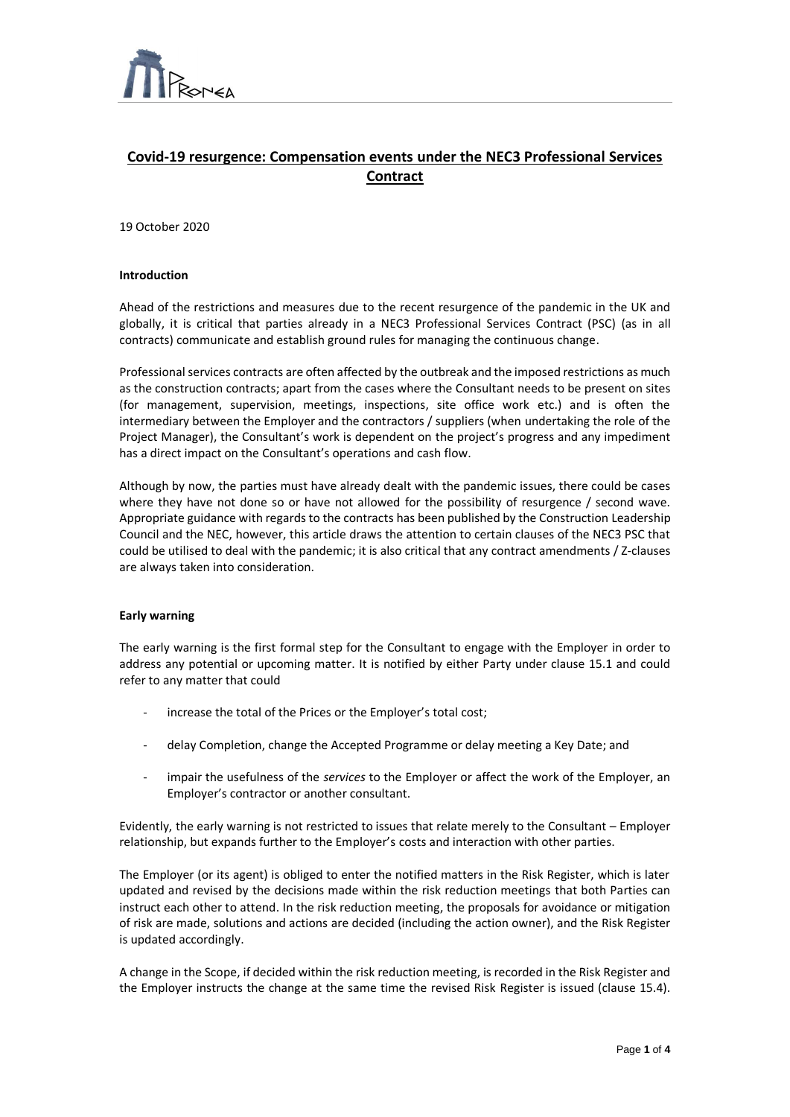

# **Covid-19 resurgence: Compensation events under the NEC3 Professional Services Contract**

 $\overline{a}$ 

19 October 2020

## **Introduction**

Ahead of the restrictions and measures due to the recent resurgence of the pandemic in the UK and globally, it is critical that parties already in a NEC3 Professional Services Contract (PSC) (as in all contracts) communicate and establish ground rules for managing the continuous change.

Professional services contracts are often affected by the outbreak and the imposed restrictions as much as the construction contracts; apart from the cases where the Consultant needs to be present on sites (for management, supervision, meetings, inspections, site office work etc.) and is often the intermediary between the Employer and the contractors / suppliers (when undertaking the role of the Project Manager), the Consultant's work is dependent on the project's progress and any impediment has a direct impact on the Consultant's operations and cash flow.

Although by now, the parties must have already dealt with the pandemic issues, there could be cases where they have not done so or have not allowed for the possibility of resurgence / second wave. Appropriate guidance with regards to the contracts has been published by the Construction Leadership Council and the NEC, however, this article draws the attention to certain clauses of the NEC3 PSC that could be utilised to deal with the pandemic; it is also critical that any contract amendments / Z-clauses are always taken into consideration.

## **Early warning**

The early warning is the first formal step for the Consultant to engage with the Employer in order to address any potential or upcoming matter. It is notified by either Party under clause 15.1 and could refer to any matter that could

- increase the total of the Prices or the Employer's total cost;
- delay Completion, change the Accepted Programme or delay meeting a Key Date; and
- impair the usefulness of the *services* to the Employer or affect the work of the Employer, an Employer's contractor or another consultant.

Evidently, the early warning is not restricted to issues that relate merely to the Consultant – Employer relationship, but expands further to the Employer's costs and interaction with other parties.

The Employer (or its agent) is obliged to enter the notified matters in the Risk Register, which is later updated and revised by the decisions made within the risk reduction meetings that both Parties can instruct each other to attend. In the risk reduction meeting, the proposals for avoidance or mitigation of risk are made, solutions and actions are decided (including the action owner), and the Risk Register is updated accordingly.

A change in the Scope, if decided within the risk reduction meeting, is recorded in the Risk Register and the Employer instructs the change at the same time the revised Risk Register is issued (clause 15.4).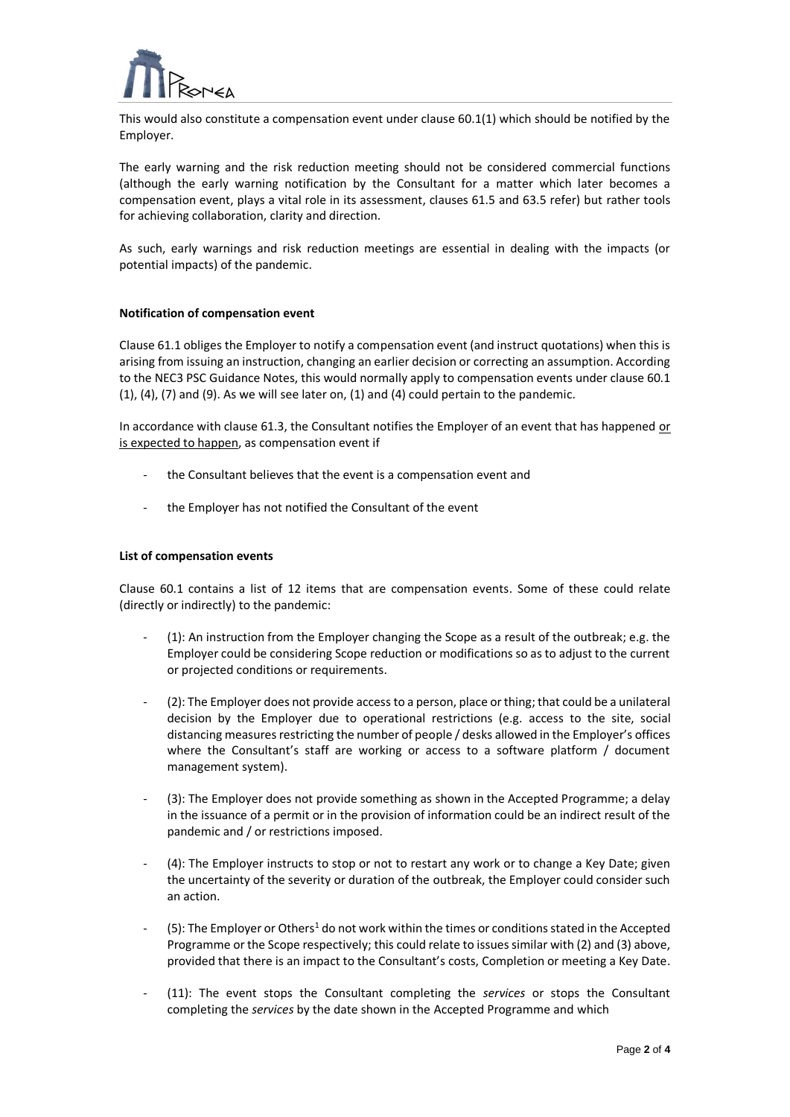

This would also constitute a compensation event under clause 60.1(1) which should be notified by the Employer.

 $\overline{a}$ 

The early warning and the risk reduction meeting should not be considered commercial functions (although the early warning notification by the Consultant for a matter which later becomes a compensation event, plays a vital role in its assessment, clauses 61.5 and 63.5 refer) but rather tools for achieving collaboration, clarity and direction.

As such, early warnings and risk reduction meetings are essential in dealing with the impacts (or potential impacts) of the pandemic.

# **Notification of compensation event**

Clause 61.1 obliges the Employer to notify a compensation event (and instruct quotations) when this is arising from issuing an instruction, changing an earlier decision or correcting an assumption. According to the NEC3 PSC Guidance Notes, this would normally apply to compensation events under clause 60.1  $(1)$ ,  $(4)$ ,  $(7)$  and  $(9)$ . As we will see later on,  $(1)$  and  $(4)$  could pertain to the pandemic.

In accordance with clause 61.3, the Consultant notifies the Employer of an event that has happened or is expected to happen, as compensation event if

- the Consultant believes that the event is a compensation event and
- the Employer has not notified the Consultant of the event

# **List of compensation events**

Clause 60.1 contains a list of 12 items that are compensation events. Some of these could relate (directly or indirectly) to the pandemic:

- (1): An instruction from the Employer changing the Scope as a result of the outbreak; e.g. the Employer could be considering Scope reduction or modifications so as to adjust to the current or projected conditions or requirements.
- (2): The Employer does not provide access to a person, place or thing; that could be a unilateral decision by the Employer due to operational restrictions (e.g. access to the site, social distancing measures restricting the number of people / desks allowed in the Employer's offices where the Consultant's staff are working or access to a software platform / document management system).
- (3): The Employer does not provide something as shown in the Accepted Programme; a delay in the issuance of a permit or in the provision of information could be an indirect result of the pandemic and / or restrictions imposed.
- (4): The Employer instructs to stop or not to restart any work or to change a Key Date; given the uncertainty of the severity or duration of the outbreak, the Employer could consider such an action.
- (5): The Employer or Others<sup>1</sup> do not work within the times or conditions stated in the Accepted Programme or the Scope respectively; this could relate to issues similar with (2) and (3) above, provided that there is an impact to the Consultant's costs, Completion or meeting a Key Date.
- (11): The event stops the Consultant completing the *services* or stops the Consultant completing the *services* by the date shown in the Accepted Programme and which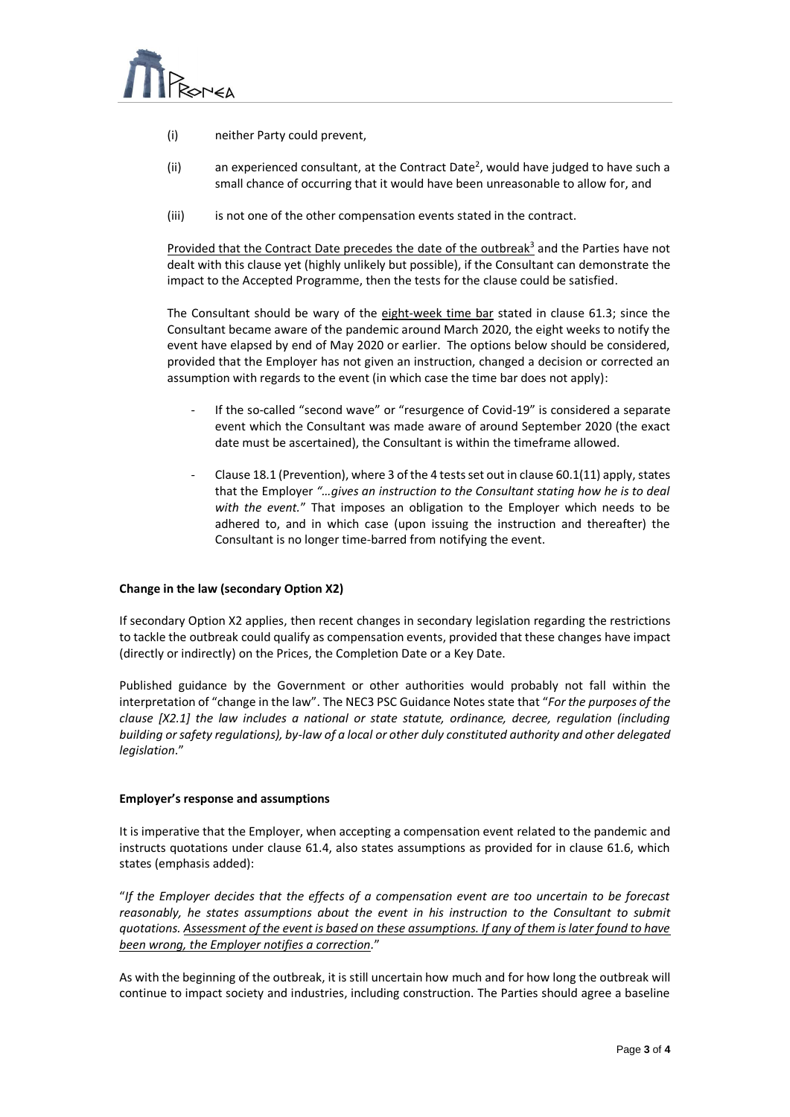

- (i) neither Party could prevent,
- (ii) an experienced consultant, at the Contract Date<sup>2</sup>, would have judged to have such a small chance of occurring that it would have been unreasonable to allow for, and

 $\overline{a}$ 

(iii) is not one of the other compensation events stated in the contract.

Provided that the Contract Date precedes the date of the outbreak<sup>3</sup> and the Parties have not dealt with this clause yet (highly unlikely but possible), if the Consultant can demonstrate the impact to the Accepted Programme, then the tests for the clause could be satisfied.

The Consultant should be wary of the eight-week time bar stated in clause 61.3; since the Consultant became aware of the pandemic around March 2020, the eight weeks to notify the event have elapsed by end of May 2020 or earlier. The options below should be considered, provided that the Employer has not given an instruction, changed a decision or corrected an assumption with regards to the event (in which case the time bar does not apply):

- If the so-called "second wave" or "resurgence of Covid-19" is considered a separate event which the Consultant was made aware of around September 2020 (the exact date must be ascertained), the Consultant is within the timeframe allowed.
- Clause 18.1 (Prevention), where 3 of the 4 tests set out in clause  $60.1(11)$  apply, states that the Employer *"…gives an instruction to the Consultant stating how he is to deal with the event.*" That imposes an obligation to the Employer which needs to be adhered to, and in which case (upon issuing the instruction and thereafter) the Consultant is no longer time-barred from notifying the event.

# **Change in the law (secondary Option X2)**

If secondary Option X2 applies, then recent changes in secondary legislation regarding the restrictions to tackle the outbreak could qualify as compensation events, provided that these changes have impact (directly or indirectly) on the Prices, the Completion Date or a Key Date.

Published guidance by the Government or other authorities would probably not fall within the interpretation of "change in the law". The NEC3 PSC Guidance Notes state that "*For the purposes of the clause [X2.1] the law includes a national or state statute, ordinance, decree, regulation (including building or safety regulations), by-law of a local or other duly constituted authority and other delegated legislation*."

## **Employer's response and assumptions**

It is imperative that the Employer, when accepting a compensation event related to the pandemic and instructs quotations under clause 61.4, also states assumptions as provided for in clause 61.6, which states (emphasis added):

"*If the Employer decides that the effects of a compensation event are too uncertain to be forecast reasonably, he states assumptions about the event in his instruction to the Consultant to submit quotations. Assessment of the event is based on these assumptions. If any of them is later found to have been wrong, the Employer notifies a correction.*"

As with the beginning of the outbreak, it is still uncertain how much and for how long the outbreak will continue to impact society and industries, including construction. The Parties should agree a baseline